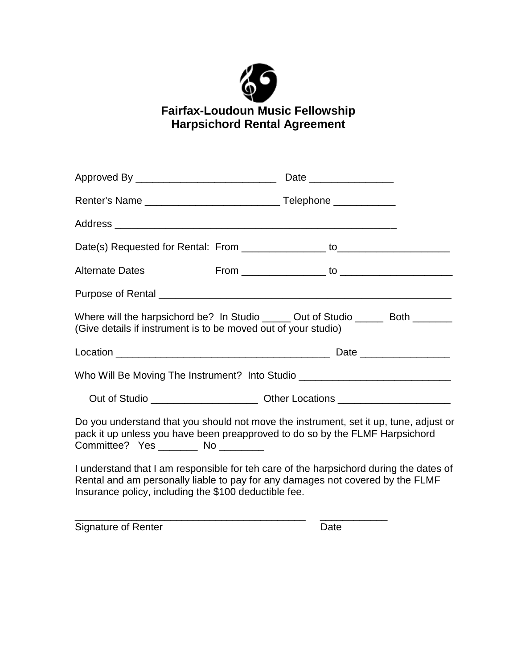

## **Fairfax-Loudoun Music Fellowship Harpsichord Rental Agreement**

| Approved By _________________________________                                                                                                                                                                                     |  |  |
|-----------------------------------------------------------------------------------------------------------------------------------------------------------------------------------------------------------------------------------|--|--|
|                                                                                                                                                                                                                                   |  |  |
|                                                                                                                                                                                                                                   |  |  |
|                                                                                                                                                                                                                                   |  |  |
| <b>Alternate Dates</b>                                                                                                                                                                                                            |  |  |
|                                                                                                                                                                                                                                   |  |  |
| Where will the harpsichord be? In Studio ______ Out of Studio ______ Both _______<br>(Give details if instrument is to be moved out of your studio)                                                                               |  |  |
|                                                                                                                                                                                                                                   |  |  |
| Who Will Be Moving The Instrument? Into Studio _________________________________                                                                                                                                                  |  |  |
|                                                                                                                                                                                                                                   |  |  |
| Do you understand that you should not move the instrument, set it up, tune, adjust or<br>pack it up unless you have been preapproved to do so by the FLMF Harpsichord<br>Committee? Yes _________ No _________                    |  |  |
| I understand that I am responsible for teh care of the harpsichord during the dates of<br>Rental and am personally liable to pay for any damages not covered by the FLMF<br>Insurance policy, including the \$100 deductible fee. |  |  |

\_\_\_\_\_\_\_\_\_\_\_\_\_\_\_\_\_\_\_\_\_\_\_\_\_\_\_\_\_\_\_\_\_\_\_\_\_\_\_\_\_ \_\_\_\_\_\_\_\_\_\_\_\_

Signature of Renter Date